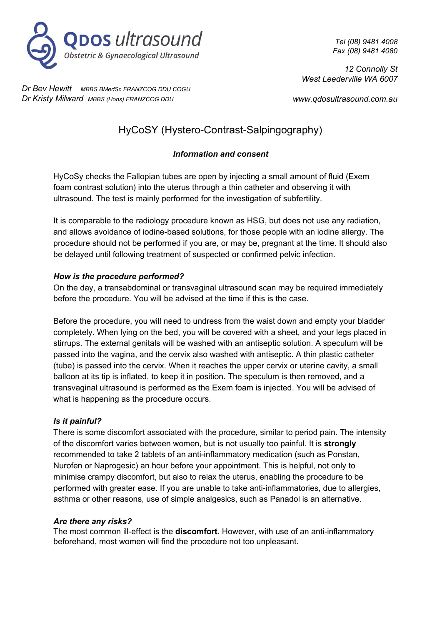

*Tel (08) 9481 4008 Fax (08) 9481 4080*

*12 Connolly St West Leederville WA 6007*

*Dr Bev Hewitt MBBS BMedSc FRANZCOG DDU COGU Dr Kristy Milward MBBS (Hons) FRANZCOG DDU*

*www.qdosultrasound.com.au*

# HyCoSY (Hystero-Contrast-Salpingography)

# *Information and consent*

HyCoSy checks the Fallopian tubes are open by injecting a small amount of fluid (Exem foam contrast solution) into the uterus through a thin catheter and observing it with ultrasound. The test is mainly performed for the investigation of subfertility.

It is comparable to the radiology procedure known as HSG, but does not use any radiation, and allows avoidance of iodine-based solutions, for those people with an iodine allergy. The procedure should not be performed if you are, or may be, pregnant at the time. It should also be delayed until following treatment of suspected or confirmed pelvic infection.

## *How is the procedure performed?*

On the day, a transabdominal or transvaginal ultrasound scan may be required immediately before the procedure. You will be advised at the time if this is the case.

Before the procedure, you will need to undress from the waist down and empty your bladder completely. When lying on the bed, you will be covered with a sheet, and your legs placed in stirrups. The external genitals will be washed with an antiseptic solution. A speculum will be passed into the vagina, and the cervix also washed with antiseptic. A thin plastic catheter (tube) is passed into the cervix. When it reaches the upper cervix or uterine cavity, a small balloon at its tip is inflated, to keep it in position. The speculum is then removed, and a transvaginal ultrasound is performed as the Exem foam is injected. You will be advised of what is happening as the procedure occurs.

## *Is it painful?*

There is some discomfort associated with the procedure, similar to period pain. The intensity of the discomfort varies between women, but is not usually too painful. It is **strongly** recommended to take 2 tablets of an anti-inflammatory medication (such as Ponstan, Nurofen or Naprogesic) an hour before your appointment. This is helpful, not only to minimise crampy discomfort, but also to relax the uterus, enabling the procedure to be performed with greater ease. If you are unable to take anti-inflammatories, due to allergies, asthma or other reasons, use of simple analgesics, such as Panadol is an alternative.

#### *Are there any risks?*

The most common ill-effect is the **discomfort**. However, with use of an anti-inflammatory beforehand, most women will find the procedure not too unpleasant.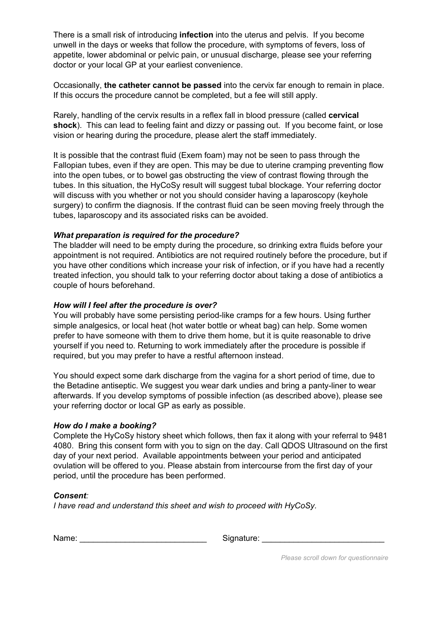There is a small risk of introducing **infection** into the uterus and pelvis. If you become unwell in the days or weeks that follow the procedure, with symptoms of fevers, loss of appetite, lower abdominal or pelvic pain, or unusual discharge, please see your referring doctor or your local GP at your earliest convenience.

Occasionally, **the catheter cannot be passed** into the cervix far enough to remain in place. If this occurs the procedure cannot be completed, but a fee will still apply.

Rarely, handling of the cervix results in a reflex fall in blood pressure (called **cervical shock**). This can lead to feeling faint and dizzy or passing out. If you become faint, or lose vision or hearing during the procedure, please alert the staff immediately.

It is possible that the contrast fluid (Exem foam) may not be seen to pass through the Fallopian tubes, even if they are open. This may be due to uterine cramping preventing flow into the open tubes, or to bowel gas obstructing the view of contrast flowing through the tubes. In this situation, the HyCoSy result will suggest tubal blockage. Your referring doctor will discuss with you whether or not you should consider having a laparoscopy (keyhole surgery) to confirm the diagnosis. If the contrast fluid can be seen moving freely through the tubes, laparoscopy and its associated risks can be avoided.

#### *What preparation is required for the procedure?*

The bladder will need to be empty during the procedure, so drinking extra fluids before your appointment is not required. Antibiotics are not required routinely before the procedure, but if you have other conditions which increase your risk of infection, or if you have had a recently treated infection, you should talk to your referring doctor about taking a dose of antibiotics a couple of hours beforehand.

#### *How will I feel after the procedure is over?*

You will probably have some persisting period-like cramps for a few hours. Using further simple analgesics, or local heat (hot water bottle or wheat bag) can help. Some women prefer to have someone with them to drive them home, but it is quite reasonable to drive yourself if you need to. Returning to work immediately after the procedure is possible if required, but you may prefer to have a restful afternoon instead.

You should expect some dark discharge from the vagina for a short period of time, due to the Betadine antiseptic. We suggest you wear dark undies and bring a panty-liner to wear afterwards. If you develop symptoms of possible infection (as described above), please see your referring doctor or local GP as early as possible.

#### *How do I make a booking?*

Complete the HyCoSy history sheet which follows, then fax it along with your referral to 9481 4080. Bring this consent form with you to sign on the day. Call QDOS Ultrasound on the first day of your next period. Available appointments between your period and anticipated ovulation will be offered to you. Please abstain from intercourse from the first day of your period, until the procedure has been performed.

#### *Consent:*

*I have read and understand this sheet and wish to proceed with HyCoSy.*

Name: \_\_\_\_\_\_\_\_\_\_\_\_\_\_\_\_\_\_\_\_\_\_\_\_\_\_\_\_ Signature: \_\_\_\_\_\_\_\_\_\_\_\_\_\_\_\_\_\_\_\_\_\_\_\_\_\_\_

*Please scroll down for questionnaire*